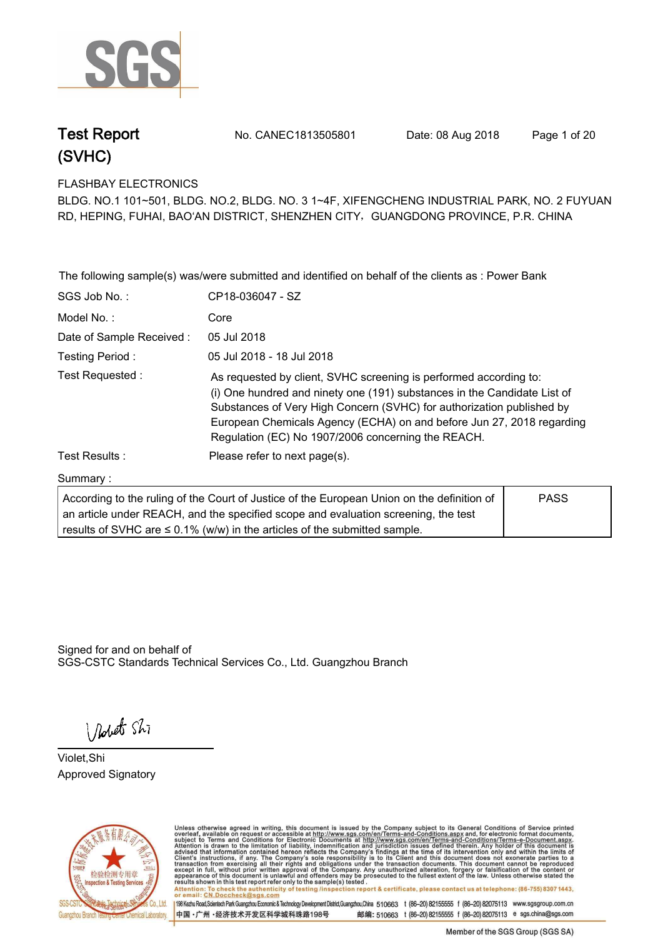

**Test Report. No. CANEC1813505801 Date: 08 Aug 2018. Page 1 of 20.**

**FLASHBAY ELECTRONICS.**

**BLDG. NO.1 101~501, BLDG. NO.2, BLDG. NO. 3 1~4F, XIFENGCHENG INDUSTRIAL PARK, NO. 2 FUYUAN RD, HEPING, FUHAI, BAO'AN DISTRICT, SHENZHEN CITY**,**GUANGDONG PROVINCE, P.R. CHINA**

|                                                                                                                                                                                                                                                                                   | The following sample(s) was/were submitted and identified on behalf of the clients as : Power Bank                                                                                                                                                                                                                                                    |  |  |  |
|-----------------------------------------------------------------------------------------------------------------------------------------------------------------------------------------------------------------------------------------------------------------------------------|-------------------------------------------------------------------------------------------------------------------------------------------------------------------------------------------------------------------------------------------------------------------------------------------------------------------------------------------------------|--|--|--|
| SGS Job No.:                                                                                                                                                                                                                                                                      | CP18-036047 - SZ                                                                                                                                                                                                                                                                                                                                      |  |  |  |
| Model No.:                                                                                                                                                                                                                                                                        | Core                                                                                                                                                                                                                                                                                                                                                  |  |  |  |
| Date of Sample Received:                                                                                                                                                                                                                                                          | 05 Jul 2018                                                                                                                                                                                                                                                                                                                                           |  |  |  |
| Testing Period:                                                                                                                                                                                                                                                                   | 05 Jul 2018 - 18 Jul 2018                                                                                                                                                                                                                                                                                                                             |  |  |  |
| Test Requested:                                                                                                                                                                                                                                                                   | As requested by client, SVHC screening is performed according to:<br>(i) One hundred and ninety one (191) substances in the Candidate List of<br>Substances of Very High Concern (SVHC) for authorization published by<br>European Chemicals Agency (ECHA) on and before Jun 27, 2018 regarding<br>Regulation (EC) No 1907/2006 concerning the REACH. |  |  |  |
| Test Results:                                                                                                                                                                                                                                                                     | Please refer to next page(s).                                                                                                                                                                                                                                                                                                                         |  |  |  |
| Summary:                                                                                                                                                                                                                                                                          |                                                                                                                                                                                                                                                                                                                                                       |  |  |  |
| <b>PASS</b><br>According to the ruling of the Court of Justice of the European Union on the definition of<br>an article under REACH, and the specified scope and evaluation screening, the test<br>results of SVHC are $\leq$ 0.1% (w/w) in the articles of the submitted sample. |                                                                                                                                                                                                                                                                                                                                                       |  |  |  |

Signed for and on behalf of SGS-CSTC Standards Technical Services Co., Ltd. Guangzhou Branch.

I Robert Shi

**Violet,Shi. Approved Signatory. . .**



Unless otherwise agreed in writing, this document is issued by the Company subject to its General Conditions of Service printed overleaf, available on request or accessible at http://www.sgs.com/en/Terms-and-Conditions.asp results shown in this test report ferer only to the sample(s) tested .<br>Attention: To check the authenticity of testing /inspection report & certificate, please contact us at telephone: (86-755) 8307 1443,<br>or email: <u>CN.Doc</u>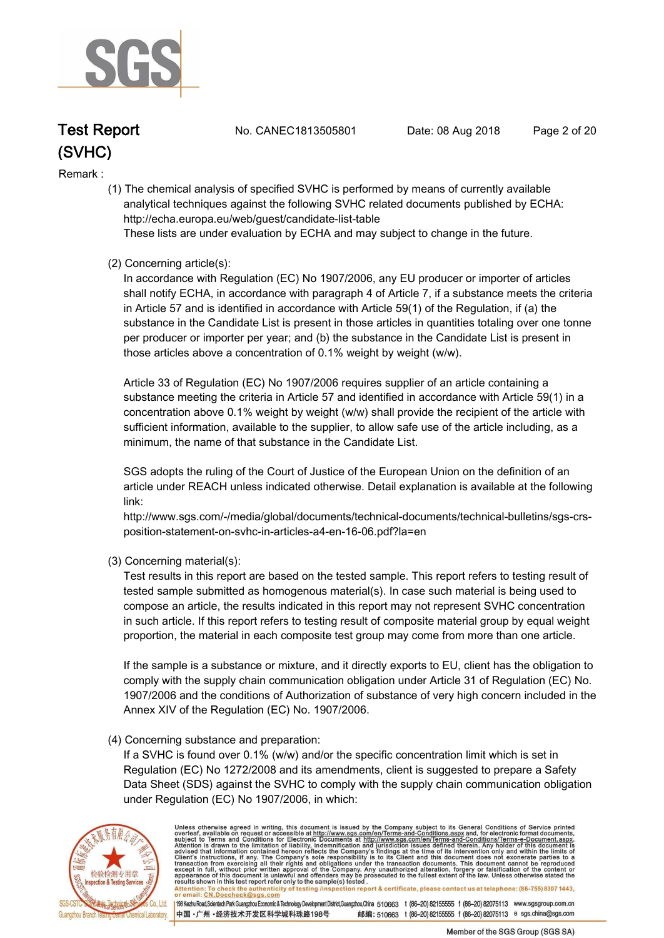

**Test Report. No. CANEC1813505801 Date: 08 Aug 2018. Page 2 of 20.**

#### **Remark :.**

 **(1) The chemical analysis of specified SVHC is performed by means of currently available analytical techniques against the following SVHC related documents published by ECHA: http://echa.europa.eu/web/guest/candidate-list-table** 

 **These lists are under evaluation by ECHA and may subject to change in the future.** 

### **(2) Concerning article(s):**

 **In accordance with Regulation (EC) No 1907/2006, any EU producer or importer of articles shall notify ECHA, in accordance with paragraph 4 of Article 7, if a substance meets the criteria in Article 57 and is identified in accordance with Article 59(1) of the Regulation, if (a) the substance in the Candidate List is present in those articles in quantities totaling over one tonne per producer or importer per year; and (b) the substance in the Candidate List is present in those articles above a concentration of 0.1% weight by weight (w/w).** 

 **Article 33 of Regulation (EC) No 1907/2006 requires supplier of an article containing a substance meeting the criteria in Article 57 and identified in accordance with Article 59(1) in a concentration above 0.1% weight by weight (w/w) shall provide the recipient of the article with sufficient information, available to the supplier, to allow safe use of the article including, as a minimum, the name of that substance in the Candidate List.** 

 **SGS adopts the ruling of the Court of Justice of the European Union on the definition of an article under REACH unless indicated otherwise. Detail explanation is available at the following link:** 

 **http://www.sgs.com/-/media/global/documents/technical-documents/technical-bulletins/sgs-crs position-statement-on-svhc-in-articles-a4-en-16-06.pdf?la=en** 

 **(3) Concerning material(s):** 

 **Test results in this report are based on the tested sample. This report refers to testing result of tested sample submitted as homogenous material(s). In case such material is being used to compose an article, the results indicated in this report may not represent SVHC concentration in such article. If this report refers to testing result of composite material group by equal weight proportion, the material in each composite test group may come from more than one article.** 

 **If the sample is a substance or mixture, and it directly exports to EU, client has the obligation to comply with the supply chain communication obligation under Article 31 of Regulation (EC) No. 1907/2006 and the conditions of Authorization of substance of very high concern included in the Annex XIV of the Regulation (EC) No. 1907/2006.** 

#### **(4) Concerning substance and preparation:**

 **If a SVHC is found over 0.1% (w/w) and/or the specific concentration limit which is set in Regulation (EC) No 1272/2008 and its amendments, client is suggested to prepare a Safety Data Sheet (SDS) against the SVHC to comply with the supply chain communication obligation under Regulation (EC) No 1907/2006, in which:** 



Unless otherwise agreed in writing, this document is issued by the Company subject to its General Conditions of Service printed overleaf, available on request or accessible at http://www.sgs.com/en/Terms-and-Conditions.asp Attention: To check the authenticity of testing /inspection report & certificate, please contact us at telephone: (86-755) 8307 1443,<br>or email: CN.Doccheck@sgs.com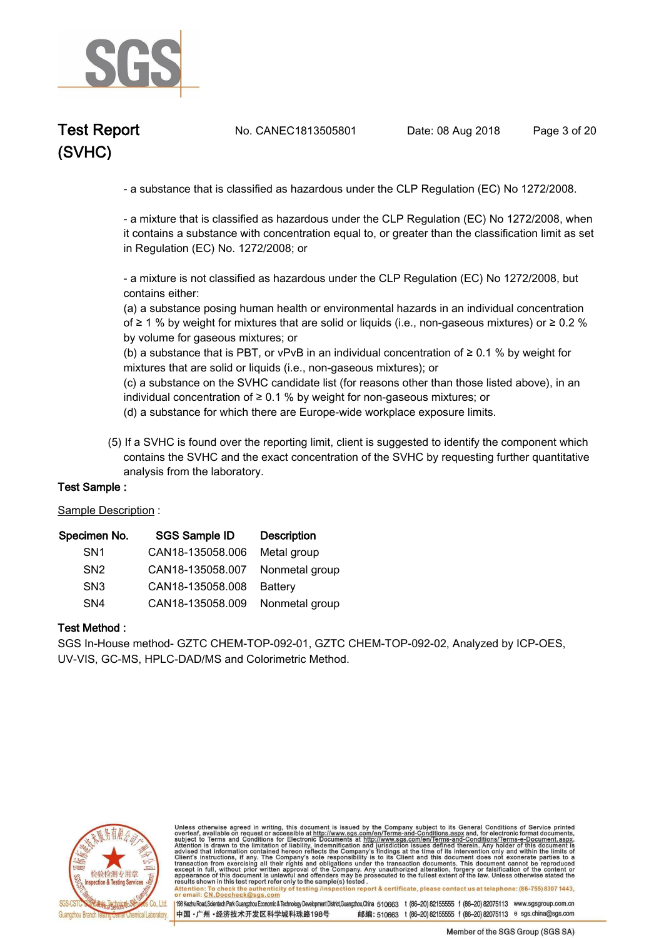

**Test Report. No. CANEC1813505801 Date: 08 Aug 2018. Page 3 of 20.**

 **- a substance that is classified as hazardous under the CLP Regulation (EC) No 1272/2008.** 

 **- a mixture that is classified as hazardous under the CLP Regulation (EC) No 1272/2008, when it contains a substance with concentration equal to, or greater than the classification limit as set in Regulation (EC) No. 1272/2008; or** 

 **- a mixture is not classified as hazardous under the CLP Regulation (EC) No 1272/2008, but contains either:** 

 **(a) a substance posing human health or environmental hazards in an individual concentration of ≥ 1 % by weight for mixtures that are solid or liquids (i.e., non-gaseous mixtures) or ≥ 0.2 % by volume for gaseous mixtures; or** 

 **(b) a substance that is PBT, or vPvB in an individual concentration of ≥ 0.1 % by weight for mixtures that are solid or liquids (i.e., non-gaseous mixtures); or** 

 **(c) a substance on the SVHC candidate list (for reasons other than those listed above), in an individual concentration of ≥ 0.1 % by weight for non-gaseous mixtures; or** 

 **(d) a substance for which there are Europe-wide workplace exposure limits.**

 **(5) If a SVHC is found over the reporting limit, client is suggested to identify the component which contains the SVHC and the exact concentration of the SVHC by requesting further quantitative analysis from the laboratory.** 

#### **Test Sample :.**

**Sample Description :.**

| Specimen No.    | <b>SGS Sample ID</b> | <b>Description</b> |
|-----------------|----------------------|--------------------|
| SN <sub>1</sub> | CAN18-135058.006     | Metal group        |
| SN <sub>2</sub> | CAN18-135058.007     | Nonmetal group     |
| SN <sub>3</sub> | CAN18-135058.008     | Battery            |
| SN <sub>4</sub> | CAN18-135058.009     | Nonmetal group     |

#### **Test Method :.**

**SGS In-House method- GZTC CHEM-TOP-092-01, GZTC CHEM-TOP-092-02, Analyzed by ICP-OES, UV-VIS, GC-MS, HPLC-DAD/MS and Colorimetric Method..**



Unless otherwise agreed in writing, this document is issued by the Company subject to its General Conditions of Service printed overleaf, available on request or accessible at http://www.sgs.com/en/Terms-and-Conditions.asp resums shown in mas lost report their unit to the sample(s) lesied .<br>Attention: To check the authenticity of testing /inspection report & certificate, please contact us at telephone: (86-755) 8307 1443,<br>or email: <u>CN.Docch</u>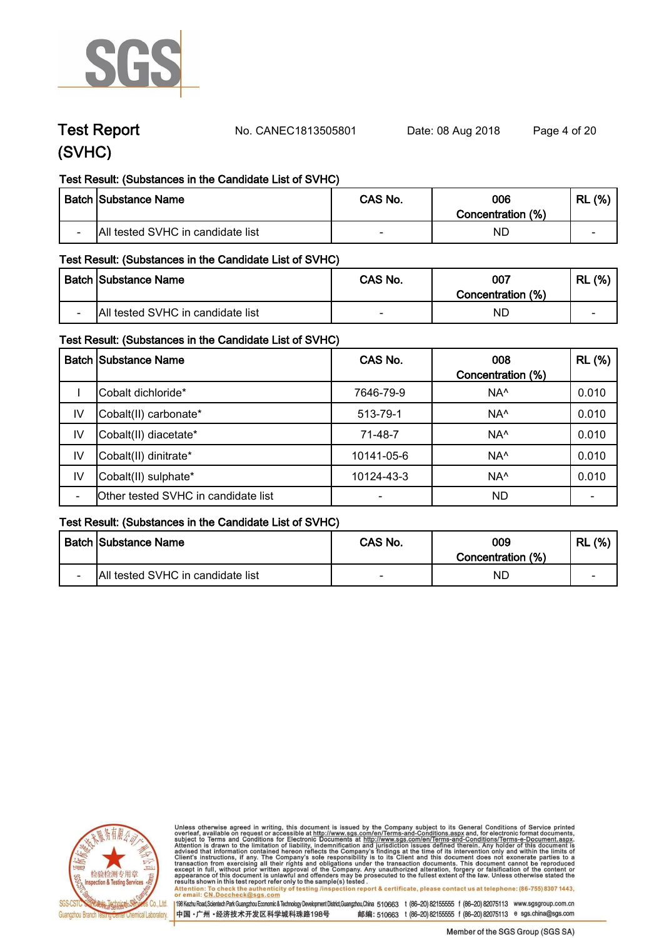

**Test Report. No. CANEC1813505801 Date: 08 Aug 2018. Page 4 of 20.**

### **Test Result: (Substances in the Candidate List of SVHC)**

|                          | <b>Batch Substance Name</b>       | CAS No. | 006<br>Concentration (%) | (% )<br>RL |
|--------------------------|-----------------------------------|---------|--------------------------|------------|
| $\overline{\phantom{0}}$ | All tested SVHC in candidate list | $\sim$  | ΝD                       | $\sim$     |

### **Test Result: (Substances in the Candidate List of SVHC)**

|                          | Batch Substance Name              | CAS No. | 007               | (% )<br>RL |
|--------------------------|-----------------------------------|---------|-------------------|------------|
|                          |                                   |         | Concentration (%) |            |
| $\overline{\phantom{0}}$ | All tested SVHC in candidate list | $\sim$  | NĽ                | $\sim$     |

### **Test Result: (Substances in the Candidate List of SVHC)**

|    | <b>Batch Substance Name</b>         | CAS No.                  | 008               | <b>RL</b> (%) |
|----|-------------------------------------|--------------------------|-------------------|---------------|
|    |                                     |                          | Concentration (%) |               |
|    | Cobalt dichloride*                  | 7646-79-9                | NA <sup>^</sup>   | 0.010         |
| IV | Cobalt(II) carbonate*               | 513-79-1                 | NA <sup>^</sup>   | 0.010         |
| IV | Cobalt(II) diacetate*               | 71-48-7                  | NA <sup>^</sup>   | 0.010         |
| IV | Cobalt(II) dinitrate*               | 10141-05-6               | NA <sup>^</sup>   | 0.010         |
| IV | Cobalt(II) sulphate*                | 10124-43-3               | NA <sup>^</sup>   | 0.010         |
|    | Other tested SVHC in candidate list | $\overline{\phantom{0}}$ | <b>ND</b>         |               |

### **Test Result: (Substances in the Candidate List of SVHC)**

|        | <b>Batch Substance Name</b>       | CAS No. | 009<br>Concentration (%) | (% )<br>∵ RL |
|--------|-----------------------------------|---------|--------------------------|--------------|
| $\sim$ | All tested SVHC in candidate list |         | ΝD                       | -            |



Unless otherwise agreed in writing, this document is issued by the Company subject to its General Conditions of Service printed overleaf, available on request or accessible at http://www.sgs.com/en/Terms-and-Conditions.asp results shown in this test report refer only to the sample(s) tested .<br>Attention: To check the authenticity of testing /inspection report & certificate, please contact us at telephone: (86-755) 8307 1443,<br>or email: <u>CN.Doc</u>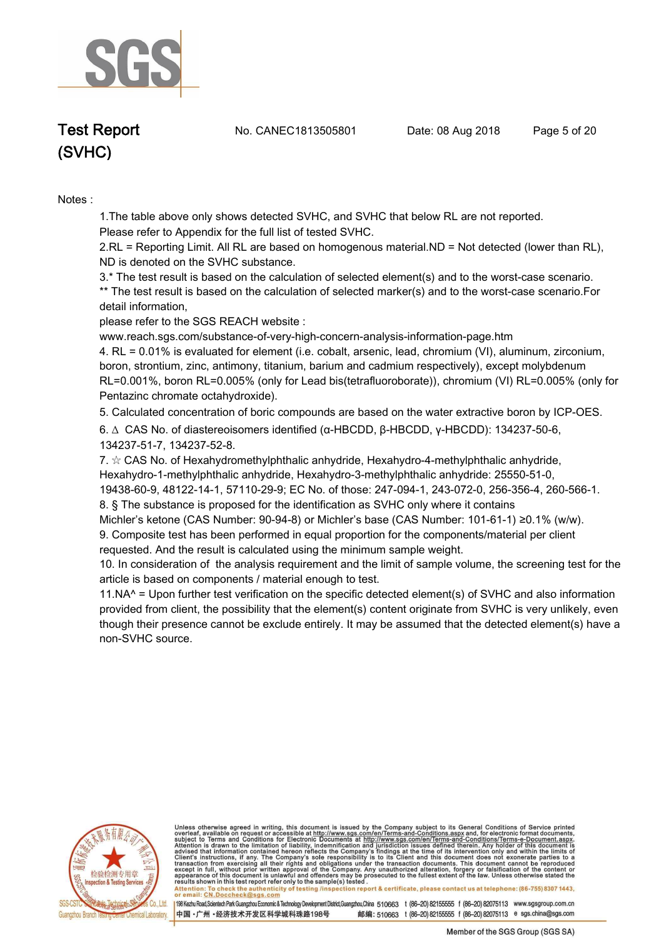

**Test Report. No. CANEC1813505801 Date: 08 Aug 2018. Page 5 of 20.**

# **(SVHC)**

#### **Notes :.**

**1.The table above only shows detected SVHC, and SVHC that below RL are not reported.** 

**Please refer to Appendix for the full list of tested SVHC.**

**2.RL = Reporting Limit. All RL are based on homogenous material.ND = Not detected (lower than RL), ND is denoted on the SVHC substance.**

**3.\* The test result is based on the calculation of selected element(s) and to the worst-case scenario. \*\* The test result is based on the calculation of selected marker(s) and to the worst-case scenario.For detail information,** 

**please refer to the SGS REACH website :** 

**www.reach.sgs.com/substance-of-very-high-concern-analysis-information-page.htm** 

**4. RL = 0.01% is evaluated for element (i.e. cobalt, arsenic, lead, chromium (VI), aluminum, zirconium, boron, strontium, zinc, antimony, titanium, barium and cadmium respectively), except molybdenum RL=0.001%, boron RL=0.005% (only for Lead bis(tetrafluoroborate)), chromium (VI) RL=0.005% (only for Pentazinc chromate octahydroxide)..**

**5. Calculated concentration of boric compounds are based on the water extractive boron by ICP-OES..**

**6. ∆ CAS No. of diastereoisomers identified (α-HBCDD, β-HBCDD, γ-HBCDD): 134237-50-6, 134237-51-7, 134237-52-8.** 

**7. ☆ CAS No. of Hexahydromethylphthalic anhydride, Hexahydro-4-methylphthalic anhydride, Hexahydro-1-methylphthalic anhydride, Hexahydro-3-methylphthalic anhydride: 25550-51-0, 19438-60-9, 48122-14-1, 57110-29-9; EC No. of those: 247-094-1, 243-072-0, 256-356-4, 260-566-1. 8. § The substance is proposed for the identification as SVHC only where it contains** 

**Michler's ketone (CAS Number: 90-94-8) or Michler's base (CAS Number: 101-61-1) ≥0.1% (w/w).**

**9. Composite test has been performed in equal proportion for the components/material per client requested. And the result is calculated using the minimum sample weight.**

**10. In consideration of the analysis requirement and the limit of sample volume, the screening test for the article is based on components / material enough to test.**

**11.NA^ = Upon further test verification on the specific detected element(s) of SVHC and also information provided from client, the possibility that the element(s) content originate from SVHC is very unlikely, even though their presence cannot be exclude entirely. It may be assumed that the detected element(s) have a non-SVHC source..**



Unless otherwise agreed in writing, this document is issued by the Company subject to its General Conditions of Service printed overleaf, available on request or accessible at http://www.sgs.com/en/Terms-and-Conditions.asp

resums shown in mas lost report their unit to the sample(s) lesied .<br>Attention: To check the authenticity of testing /inspection report & certificate, please contact us at telephone: (86-755) 8307 1443,<br>or email: <u>CN.Docch</u>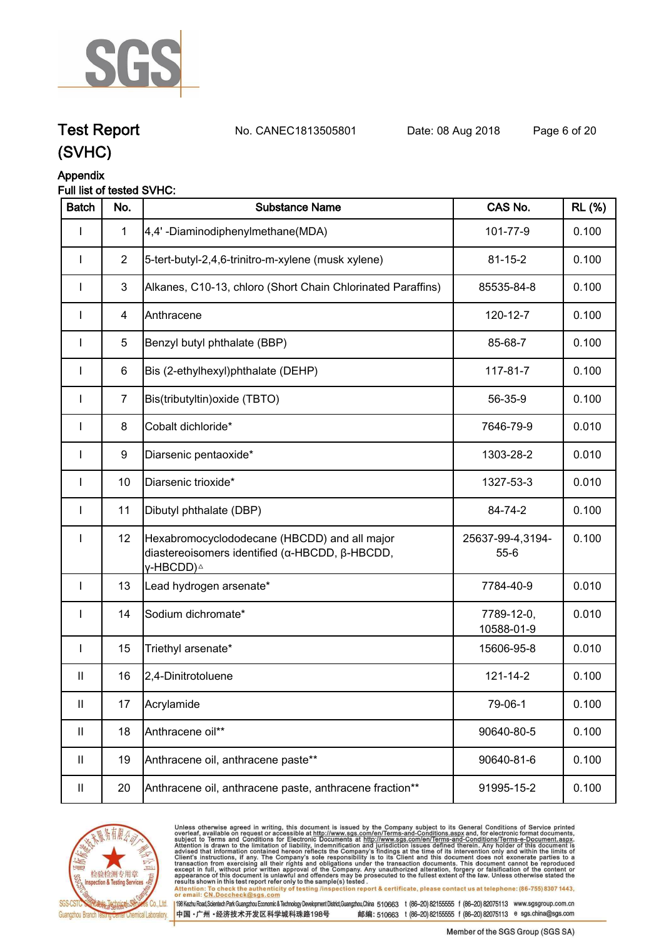

**Test Report. No. CANEC1813505801 Date: 08 Aug 2018. Page 6 of 20.**

## **(SVHC)**

### **Appendix**

### **Full list of tested SVHC:**

| <b>Batch</b> | No.            | <b>Substance Name</b>                                                                                                   | CAS No.                      | <b>RL</b> (%) |
|--------------|----------------|-------------------------------------------------------------------------------------------------------------------------|------------------------------|---------------|
| I            | $\mathbf{1}$   | 4,4'-Diaminodiphenylmethane(MDA)                                                                                        | 101-77-9                     | 0.100         |
| $\mathbf{I}$ | $\overline{2}$ | 5-tert-butyl-2,4,6-trinitro-m-xylene (musk xylene)                                                                      | $81 - 15 - 2$                | 0.100         |
| $\mathbf{I}$ | 3              | Alkanes, C10-13, chloro (Short Chain Chlorinated Paraffins)                                                             | 85535-84-8                   | 0.100         |
|              | 4              | Anthracene                                                                                                              | 120-12-7                     | 0.100         |
| <b>I</b>     | 5              | Benzyl butyl phthalate (BBP)                                                                                            | 85-68-7                      | 0.100         |
| $\mathbf{I}$ | 6              | Bis (2-ethylhexyl)phthalate (DEHP)                                                                                      | 117-81-7                     | 0.100         |
| $\mathbf{I}$ | $\overline{7}$ | Bis(tributyltin) oxide (TBTO)                                                                                           | 56-35-9                      | 0.100         |
| $\mathbf{I}$ | 8              | Cobalt dichloride*                                                                                                      | 7646-79-9                    | 0.010         |
| $\mathbf{I}$ | 9              | Diarsenic pentaoxide*                                                                                                   | 1303-28-2                    | 0.010         |
| $\mathbf{I}$ | 10             | Diarsenic trioxide*                                                                                                     | 1327-53-3                    | 0.010         |
| $\mathbf{I}$ | 11             | Dibutyl phthalate (DBP)                                                                                                 | 84-74-2                      | 0.100         |
| $\mathbf{I}$ | 12             | Hexabromocyclododecane (HBCDD) and all major<br>diastereoisomers identified (α-HBCDD, β-HBCDD,<br>γ-HBCDD) <sup>∆</sup> | 25637-99-4,3194-<br>$55 - 6$ | 0.100         |
| $\mathbf{I}$ | 13             | Lead hydrogen arsenate*                                                                                                 | 7784-40-9                    | 0.010         |
| $\mathbf{I}$ | 14             | Sodium dichromate*                                                                                                      | 7789-12-0,<br>10588-01-9     | 0.010         |
| $\mathbf{I}$ | 15             | Triethyl arsenate*                                                                                                      | 15606-95-8                   | 0.010         |
| $\mathbf{H}$ | 16             | 2,4-Dinitrotoluene                                                                                                      | 121-14-2                     | 0.100         |
| Ш            | 17             | Acrylamide                                                                                                              | 79-06-1                      | 0.100         |
| Ш            | 18             | Anthracene oil**                                                                                                        | 90640-80-5                   | 0.100         |
| Ш            | 19             | Anthracene oil, anthracene paste**                                                                                      | 90640-81-6                   | 0.100         |
| Ш            | 20             | Anthracene oil, anthracene paste, anthracene fraction**                                                                 | 91995-15-2                   | 0.100         |



Unless otherwise agreed in writing, this document is issued by the Company subject to its General Conditions of Service printed<br>overleaf, available on request or accessible at http://www.sgs.com/en/Terms-and-Conditions.asp results shown in this test report refer only to the sample(s) tested .<br>Attention: To check the authenticity of testing /inspection report & certificate, please contact us at telephone: (86-755) 8307 1443,<br>or email: <u>CN.Doc</u>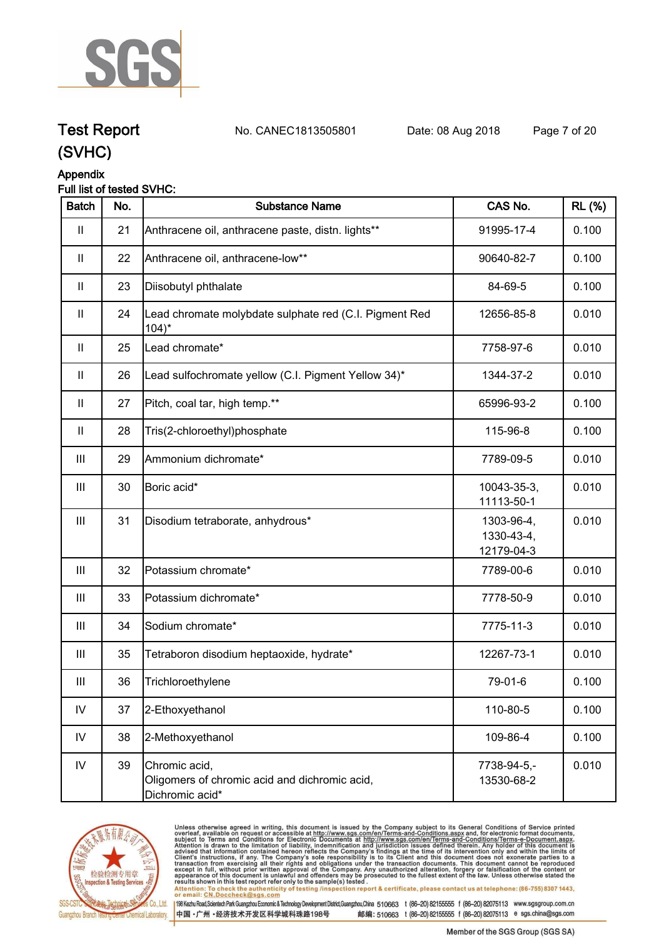

**Test Report. No. CANEC1813505801 Date: 08 Aug 2018. Page 7 of 20.**

### **(SVHC)**

### **Appendix**

#### **Full list of tested SVHC:**

| <b>Batch</b>                          | No. | <b>Substance Name</b>                                                             | CAS No.                                | <b>RL (%)</b> |
|---------------------------------------|-----|-----------------------------------------------------------------------------------|----------------------------------------|---------------|
| $\begin{array}{c} \hline \end{array}$ | 21  | Anthracene oil, anthracene paste, distn. lights**                                 | 91995-17-4                             | 0.100         |
| $\mathbf{II}$                         | 22  | Anthracene oil, anthracene-low**                                                  | 90640-82-7                             | 0.100         |
| $\mathbf{II}$                         | 23  | Diisobutyl phthalate                                                              | 84-69-5                                | 0.100         |
| Ш                                     | 24  | Lead chromate molybdate sulphate red (C.I. Pigment Red<br>$104$ <sup>*</sup>      | 12656-85-8                             | 0.010         |
| $\mathbf{I}$                          | 25  | Lead chromate*                                                                    | 7758-97-6                              | 0.010         |
| $\mathbf{H}$                          | 26  | Lead sulfochromate yellow (C.I. Pigment Yellow 34)*                               | 1344-37-2                              | 0.010         |
| $\mathbf{H}$                          | 27  | Pitch, coal tar, high temp.**                                                     | 65996-93-2                             | 0.100         |
| $\mathbf{II}$                         | 28  | Tris(2-chloroethyl)phosphate                                                      | 115-96-8                               | 0.100         |
| Ш                                     | 29  | Ammonium dichromate*                                                              | 7789-09-5                              | 0.010         |
| Ш                                     | 30  | Boric acid*                                                                       | 10043-35-3,<br>11113-50-1              | 0.010         |
| Ш                                     | 31  | Disodium tetraborate, anhydrous*                                                  | 1303-96-4,<br>1330-43-4,<br>12179-04-3 | 0.010         |
| Ш                                     | 32  | Potassium chromate*                                                               | 7789-00-6                              | 0.010         |
| Ш                                     | 33  | Potassium dichromate*                                                             | 7778-50-9                              | 0.010         |
| Ш                                     | 34  | Sodium chromate*                                                                  | 7775-11-3                              | 0.010         |
| Ш                                     | 35  | Tetraboron disodium heptaoxide, hydrate*                                          | 12267-73-1                             | 0.010         |
| Ш                                     | 36  | Trichloroethylene                                                                 | 79-01-6                                | 0.100         |
| ${\sf IV}$                            | 37  | 2-Ethoxyethanol                                                                   | 110-80-5                               | 0.100         |
| $\mathsf{IV}$                         | 38  | 2-Methoxyethanol                                                                  | 109-86-4                               | 0.100         |
| ${\sf IV}$                            | 39  | Chromic acid,<br>Oligomers of chromic acid and dichromic acid,<br>Dichromic acid* | 7738-94-5,-<br>13530-68-2              | 0.010         |



Unless otherwise agreed in writing, this document is issued by the Company subject to its General Conditions of Service printed<br>overleaf, available on request or accessible at http://www.sgs.com/en/Terms-and-Conditions.asp results shown in this test report refer only to the sample(s) tested .<br>Attention: To check the authenticity of testing /inspection report & certificate, please contact us at telephone: (86-755) 8307 1443,<br>or email: <u>CN.Doc</u>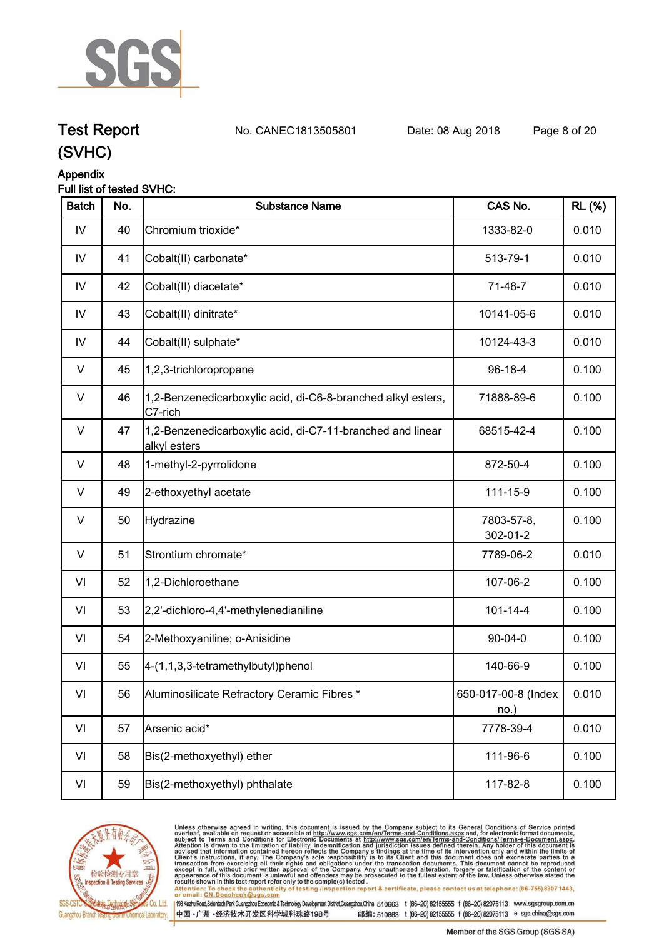

**Test Report. No. CANEC1813505801 Date: 08 Aug 2018. Page 8 of 20.**

### **(SVHC)**

### **Appendix**

### **Full list of tested SVHC:**

| <b>Batch</b> | No. | <b>Substance Name</b>                                                      | CAS No.                     | <b>RL (%)</b> |
|--------------|-----|----------------------------------------------------------------------------|-----------------------------|---------------|
| IV           | 40  | Chromium trioxide*                                                         | 1333-82-0                   | 0.010         |
| IV           | 41  | Cobalt(II) carbonate*                                                      | 513-79-1                    | 0.010         |
| IV           | 42  | Cobalt(II) diacetate*                                                      | 71-48-7                     | 0.010         |
| IV           | 43  | Cobalt(II) dinitrate*                                                      | 10141-05-6                  | 0.010         |
| IV           | 44  | Cobalt(II) sulphate*                                                       | 10124-43-3                  | 0.010         |
| V            | 45  | 1,2,3-trichloropropane                                                     | $96 - 18 - 4$               | 0.100         |
| V            | 46  | 1,2-Benzenedicarboxylic acid, di-C6-8-branched alkyl esters,<br>C7-rich    | 71888-89-6                  | 0.100         |
| $\vee$       | 47  | 1,2-Benzenedicarboxylic acid, di-C7-11-branched and linear<br>alkyl esters | 68515-42-4                  | 0.100         |
| $\vee$       | 48  | 1-methyl-2-pyrrolidone                                                     | 872-50-4                    | 0.100         |
| V            | 49  | 2-ethoxyethyl acetate                                                      | 111-15-9                    | 0.100         |
| $\vee$       | 50  | <b>Hydrazine</b>                                                           | 7803-57-8,<br>302-01-2      | 0.100         |
| V            | 51  | Strontium chromate*                                                        | 7789-06-2                   | 0.010         |
| VI           | 52  | 1,2-Dichloroethane                                                         | 107-06-2                    | 0.100         |
| VI           | 53  | 2,2'-dichloro-4,4'-methylenedianiline                                      | $101 - 14 - 4$              | 0.100         |
| VI           | 54  | 2-Methoxyaniline; o-Anisidine                                              | $90 - 04 - 0$               | 0.100         |
| VI           | 55  | 4-(1,1,3,3-tetramethylbutyl)phenol                                         | 140-66-9                    | 0.100         |
| VI           | 56  | Aluminosilicate Refractory Ceramic Fibres *                                | 650-017-00-8 (Index<br>no.) | 0.010         |
| VI           | 57  | Arsenic acid*                                                              | 7778-39-4                   | 0.010         |
| VI           | 58  | Bis(2-methoxyethyl) ether                                                  | 111-96-6                    | 0.100         |
| VI           | 59  | Bis(2-methoxyethyl) phthalate                                              | 117-82-8                    | 0.100         |



Unless otherwise agreed in writing, this document is issued by the Company subject to its General Conditions of Service printed<br>overleaf, available on request or accessible at http://www.sgs.com/en/Terms-and-Conditions.asp results shown in this test report refer only to the sample(s) tested .<br>Attention: To check the authenticity of testing /inspection report & certificate, please contact us at telephone: (86-755) 8307 1443,<br>or email: <u>CN.Doc</u>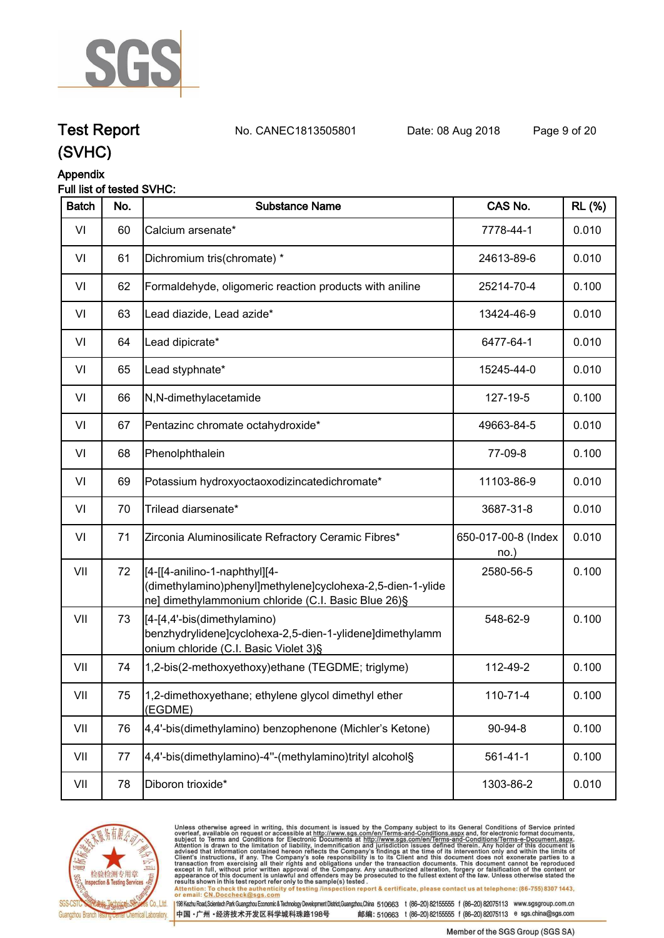

**Test Report. No. CANEC1813505801 Date: 08 Aug 2018. Page 9 of 20.**

## **(SVHC)**

### **Appendix**

### **Full list of tested SVHC:**

| <b>Batch</b> | No. | <b>Substance Name</b>                                                                                                                               | CAS No.                    | <b>RL (%)</b> |
|--------------|-----|-----------------------------------------------------------------------------------------------------------------------------------------------------|----------------------------|---------------|
| VI           | 60  | Calcium arsenate*                                                                                                                                   | 7778-44-1                  | 0.010         |
| VI           | 61  | Dichromium tris(chromate) *                                                                                                                         | 24613-89-6                 | 0.010         |
| VI           | 62  | Formaldehyde, oligomeric reaction products with aniline                                                                                             | 25214-70-4                 | 0.100         |
| VI           | 63  | Lead diazide, Lead azide*                                                                                                                           | 13424-46-9                 | 0.010         |
| VI           | 64  | Lead dipicrate*                                                                                                                                     | 6477-64-1                  | 0.010         |
| VI           | 65  | Lead styphnate*                                                                                                                                     | 15245-44-0                 | 0.010         |
| VI           | 66  | N,N-dimethylacetamide                                                                                                                               | 127-19-5                   | 0.100         |
| VI           | 67  | Pentazinc chromate octahydroxide*                                                                                                                   | 49663-84-5                 | 0.010         |
| VI           | 68  | Phenolphthalein                                                                                                                                     | 77-09-8                    | 0.100         |
| VI           | 69  | Potassium hydroxyoctaoxodizincatedichromate*                                                                                                        | 11103-86-9                 | 0.010         |
| VI           | 70  | Trilead diarsenate*                                                                                                                                 | 3687-31-8                  | 0.010         |
| VI           | 71  | Zirconia Aluminosilicate Refractory Ceramic Fibres*                                                                                                 | 650-017-00-8 (Index<br>no. | 0.010         |
| VII          | 72  | [[4-[[4-anilino-1-naphthyl][4-<br>(dimethylamino)phenyl]methylene]cyclohexa-2,5-dien-1-ylide<br>ne] dimethylammonium chloride (C.I. Basic Blue 26)§ | 2580-56-5                  | 0.100         |
| VII          | 73  | [4-[4,4'-bis(dimethylamino)<br>benzhydrylidene]cyclohexa-2,5-dien-1-ylidene]dimethylamm<br>onium chloride (C.I. Basic Violet 3)§                    | 548-62-9                   | 0.100         |
| VII          | 74  | 1,2-bis(2-methoxyethoxy)ethane (TEGDME; triglyme)                                                                                                   | 112-49-2                   | 0.100         |
| VII          | 75  | 1,2-dimethoxyethane; ethylene glycol dimethyl ether<br>(EGDME)                                                                                      | 110-71-4                   | 0.100         |
| VII          | 76  | 4,4'-bis(dimethylamino) benzophenone (Michler's Ketone)                                                                                             | 90-94-8                    | 0.100         |
| VII          | 77  | 4,4'-bis(dimethylamino)-4"-(methylamino)trityl alcohol§                                                                                             | $561 - 41 - 1$             | 0.100         |
| VII          | 78  | Diboron trioxide*                                                                                                                                   | 1303-86-2                  | 0.010         |



Unless otherwise agreed in writing, this document is issued by the Company subject to its General Conditions of Service printed<br>overleaf, available on request or accessible at http://www.sgs.com/en/Terms-and-Conditions.asp results shown in this test report refer only to the sample(s) tested .<br>Attention: To check the authenticity of testing /inspection report & certificate, please contact us at telephone: (86-755) 8307 1443,<br>or email: <u>CN.Doc</u>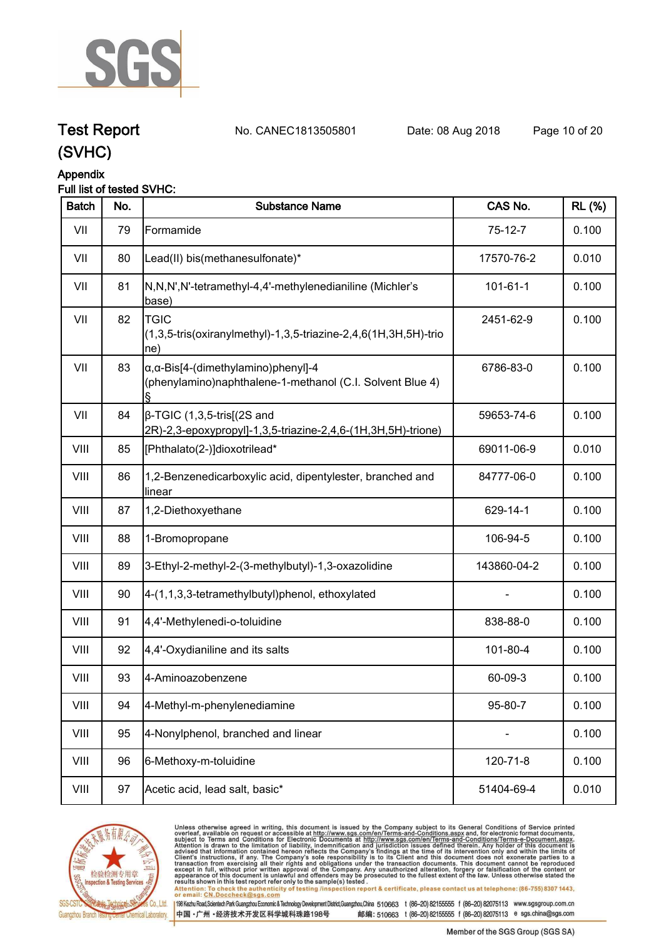

**Test Report. No. CANEC1813505801 Date: 08 Aug 2018. Page 10 of 20.**

### **(SVHC)**

### **Appendix**

### **Full list of tested SVHC:**

| <b>Batch</b> | No. | <b>Substance Name</b>                                                                                            | CAS No.        | <b>RL (%)</b> |
|--------------|-----|------------------------------------------------------------------------------------------------------------------|----------------|---------------|
| VII          | 79  | Formamide                                                                                                        | $75-12-7$      | 0.100         |
| VII          | 80  | Lead(II) bis(methanesulfonate)*                                                                                  | 17570-76-2     | 0.010         |
| VII          | 81  | N,N,N',N'-tetramethyl-4,4'-methylenedianiline (Michler's<br>base)                                                | $101 - 61 - 1$ | 0.100         |
| VII          | 82  | <b>TGIC</b><br>(1,3,5-tris(oxiranylmethyl)-1,3,5-triazine-2,4,6(1H,3H,5H)-trio<br>$ ne\rangle$                   | 2451-62-9      | 0.100         |
| VII          | 83  | $\alpha$ , $\alpha$ -Bis[4-(dimethylamino)phenyl]-4<br>(phenylamino)naphthalene-1-methanol (C.I. Solvent Blue 4) | 6786-83-0      | 0.100         |
| VII          | 84  | $\beta$ -TGIC (1,3,5-tris[(2S and<br>2R)-2,3-epoxypropyl]-1,3,5-triazine-2,4,6-(1H,3H,5H)-trione)                | 59653-74-6     | 0.100         |
| VIII         | 85  | [Phthalato(2-)]dioxotrilead*                                                                                     | 69011-06-9     | 0.010         |
| VIII         | 86  | 1,2-Benzenedicarboxylic acid, dipentylester, branched and<br>linear                                              | 84777-06-0     | 0.100         |
| VIII         | 87  | 1,2-Diethoxyethane                                                                                               | 629-14-1       | 0.100         |
| VIII         | 88  | 1-Bromopropane                                                                                                   | 106-94-5       | 0.100         |
| VIII         | 89  | 3-Ethyl-2-methyl-2-(3-methylbutyl)-1,3-oxazolidine                                                               | 143860-04-2    | 0.100         |
| VIII         | 90  | 4-(1,1,3,3-tetramethylbutyl)phenol, ethoxylated                                                                  |                | 0.100         |
| VIII         | 91  | 4,4'-Methylenedi-o-toluidine                                                                                     | 838-88-0       | 0.100         |
| VIII         | 92  | 4,4'-Oxydianiline and its salts                                                                                  | 101-80-4       | 0.100         |
| VIII         | 93  | 4-Aminoazobenzene                                                                                                | 60-09-3        | 0.100         |
| VIII         | 94  | 4-Methyl-m-phenylenediamine                                                                                      | 95-80-7        | 0.100         |
| VIII         | 95  | 4-Nonylphenol, branched and linear                                                                               |                | 0.100         |
| VIII         | 96  | 6-Methoxy-m-toluidine                                                                                            | 120-71-8       | 0.100         |
| VIII         | 97  | Acetic acid, lead salt, basic*                                                                                   | 51404-69-4     | 0.010         |
|              |     |                                                                                                                  |                |               |



Unless otherwise agreed in writing, this document is issued by the Company subject to its General Conditions of Service printed<br>overleaf, available on request or accessible at http://www.sgs.com/en/Terms-and-Conditions.asp results shown in this test report refer only to the sample(s) tested .<br>Attention: To check the authenticity of testing /inspection report & certificate, please contact us at telephone: (86-755) 8307 1443,<br>or email: <u>CN.Doc</u>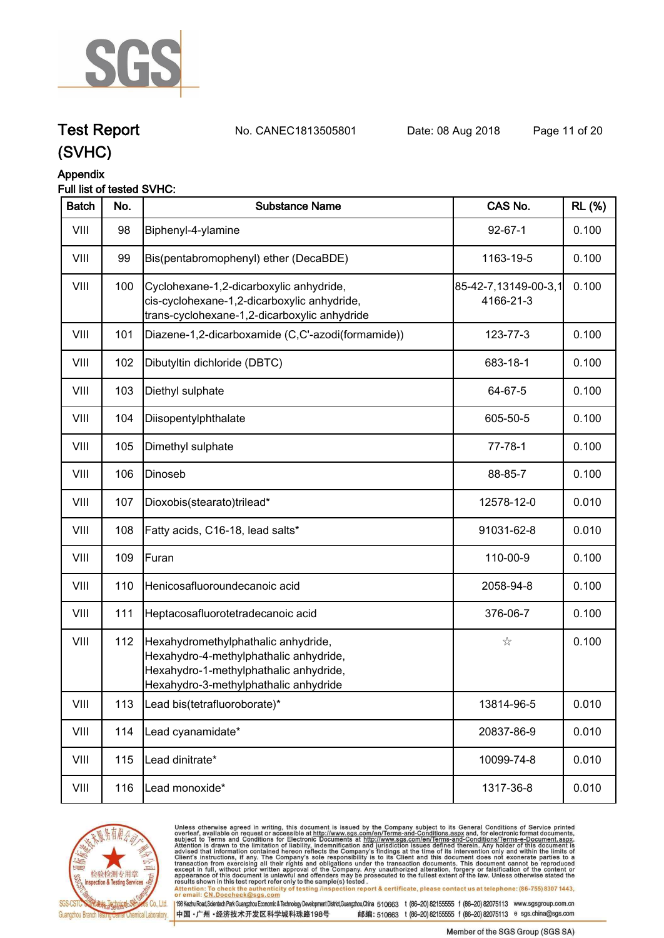

**Test Report. No. CANEC1813505801 Date: 08 Aug 2018. Page 11 of 20.**

## **(SVHC)**

#### **Appendix**

### **Full list of tested SVHC:**

| <b>Batch</b> | No. | <b>Substance Name</b>                                                                                                                                            | CAS No.                           | <b>RL</b> (%) |
|--------------|-----|------------------------------------------------------------------------------------------------------------------------------------------------------------------|-----------------------------------|---------------|
| VIII         | 98  | Biphenyl-4-ylamine                                                                                                                                               | $92 - 67 - 1$                     | 0.100         |
| VIII         | 99  | Bis(pentabromophenyl) ether (DecaBDE)                                                                                                                            | 1163-19-5                         | 0.100         |
| VIII         | 100 | Cyclohexane-1,2-dicarboxylic anhydride,<br>cis-cyclohexane-1,2-dicarboxylic anhydride,<br>trans-cyclohexane-1,2-dicarboxylic anhydride                           | 85-42-7,13149-00-3,1<br>4166-21-3 | 0.100         |
| VIII         | 101 | Diazene-1,2-dicarboxamide (C,C'-azodi(formamide))                                                                                                                | 123-77-3                          | 0.100         |
| VIII         | 102 | Dibutyltin dichloride (DBTC)                                                                                                                                     | 683-18-1                          | 0.100         |
| VIII         | 103 | Diethyl sulphate                                                                                                                                                 | 64-67-5                           | 0.100         |
| VIII         | 104 | Diisopentylphthalate                                                                                                                                             | 605-50-5                          | 0.100         |
| VIII         | 105 | Dimethyl sulphate                                                                                                                                                | $77 - 78 - 1$                     | 0.100         |
| VIII         | 106 | Dinoseb                                                                                                                                                          | 88-85-7                           | 0.100         |
| VIII         | 107 | Dioxobis(stearato)trilead*                                                                                                                                       | 12578-12-0                        | 0.010         |
| VIII         | 108 | Fatty acids, C16-18, lead salts*                                                                                                                                 | 91031-62-8                        | 0.010         |
| VIII         | 109 | Furan                                                                                                                                                            | 110-00-9                          | 0.100         |
| VIII         | 110 | Henicosafluoroundecanoic acid                                                                                                                                    | 2058-94-8                         | 0.100         |
| VIII         | 111 | Heptacosafluorotetradecanoic acid                                                                                                                                | 376-06-7                          | 0.100         |
| VIII         | 112 | Hexahydromethylphathalic anhydride,<br>Hexahydro-4-methylphathalic anhydride,<br>Hexahydro-1-methylphathalic anhydride,<br>Hexahydro-3-methylphathalic anhydride | $\stackrel{\wedge}{\bowtie}$      | 0.100         |
| VIII         | 113 | Lead bis(tetrafluoroborate)*                                                                                                                                     | 13814-96-5                        | 0.010         |
| VIII         | 114 | Lead cyanamidate*                                                                                                                                                | 20837-86-9                        | 0.010         |
| VIII         | 115 | Lead dinitrate*                                                                                                                                                  | 10099-74-8                        | 0.010         |
| VIII         | 116 | Lead monoxide*                                                                                                                                                   | 1317-36-8                         | 0.010         |
|              |     |                                                                                                                                                                  |                                   |               |



Unless otherwise agreed in writing, this document is issued by the Company subject to its General Conditions of Service printed<br>overleaf, available on request or accessible at http://www.sgs.com/en/Terms-and-Conditions.asp results shown in this test report refer only to the sample(s) tested .<br>Attention: To check the authenticity of testing /inspection report & certificate, please contact us at telephone: (86-755) 8307 1443,<br>or email: <u>CN.Doc</u>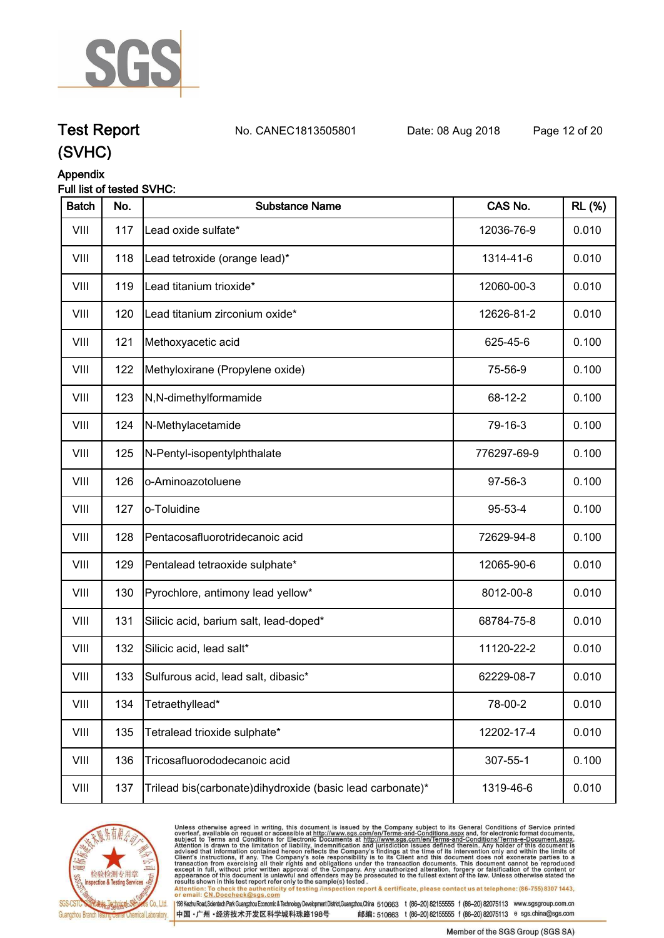

**Test Report. No. CANEC1813505801 Date: 08 Aug 2018. Page 12 of 20.**

### **(SVHC)**

### **Appendix**

### **Full list of tested SVHC:**

| <b>Batch</b> | No. | <b>Substance Name</b>                                       | CAS No.     | <b>RL (%)</b> |
|--------------|-----|-------------------------------------------------------------|-------------|---------------|
| VIII         | 117 | Lead oxide sulfate*                                         | 12036-76-9  | 0.010         |
| VIII         | 118 | Lead tetroxide (orange lead)*                               | 1314-41-6   | 0.010         |
| VIII         | 119 | Lead titanium trioxide*                                     | 12060-00-3  | 0.010         |
| VIII         | 120 | Lead titanium zirconium oxide*                              | 12626-81-2  | 0.010         |
| VIII         | 121 | Methoxyacetic acid                                          | 625-45-6    | 0.100         |
| VIII         | 122 | Methyloxirane (Propylene oxide)                             | 75-56-9     | 0.100         |
| VIII         | 123 | N,N-dimethylformamide                                       | 68-12-2     | 0.100         |
| VIII         | 124 | N-Methylacetamide                                           | 79-16-3     | 0.100         |
| VIII         | 125 | N-Pentyl-isopentylphthalate                                 | 776297-69-9 | 0.100         |
| VIII         | 126 | o-Aminoazotoluene                                           | 97-56-3     | 0.100         |
| VIII         | 127 | o-Toluidine                                                 | 95-53-4     | 0.100         |
| VIII         | 128 | Pentacosafluorotridecanoic acid                             | 72629-94-8  | 0.100         |
| VIII         | 129 | Pentalead tetraoxide sulphate*                              | 12065-90-6  | 0.010         |
| VIII         | 130 | Pyrochlore, antimony lead yellow*                           | 8012-00-8   | 0.010         |
| VIII         | 131 | Silicic acid, barium salt, lead-doped*                      | 68784-75-8  | 0.010         |
| VIII         | 132 | Silicic acid, lead salt*                                    | 11120-22-2  | 0.010         |
| VIII         | 133 | Sulfurous acid, lead salt, dibasic*                         | 62229-08-7  | 0.010         |
| VIII         | 134 | Tetraethyllead*                                             | 78-00-2     | 0.010         |
| VIII         | 135 | Tetralead trioxide sulphate*                                | 12202-17-4  | 0.010         |
| VIII         | 136 | Tricosafluorododecanoic acid                                | 307-55-1    | 0.100         |
| VIII         | 137 | Trilead bis(carbonate) dihy droxide (basic lead carbonate)* | 1319-46-6   | 0.010         |



Unless otherwise agreed in writing, this document is issued by the Company subject to its General Conditions of Service printed<br>overleaf, available on request or accessible at http://www.sgs.com/en/Terms-and-Conditions.asp results shown in this test report refer only to the sample(s) tested .<br>Attention: To check the authenticity of testing /inspection report & certificate, please contact us at telephone: (86-755) 8307 1443,<br>or email: <u>CN.Doc</u>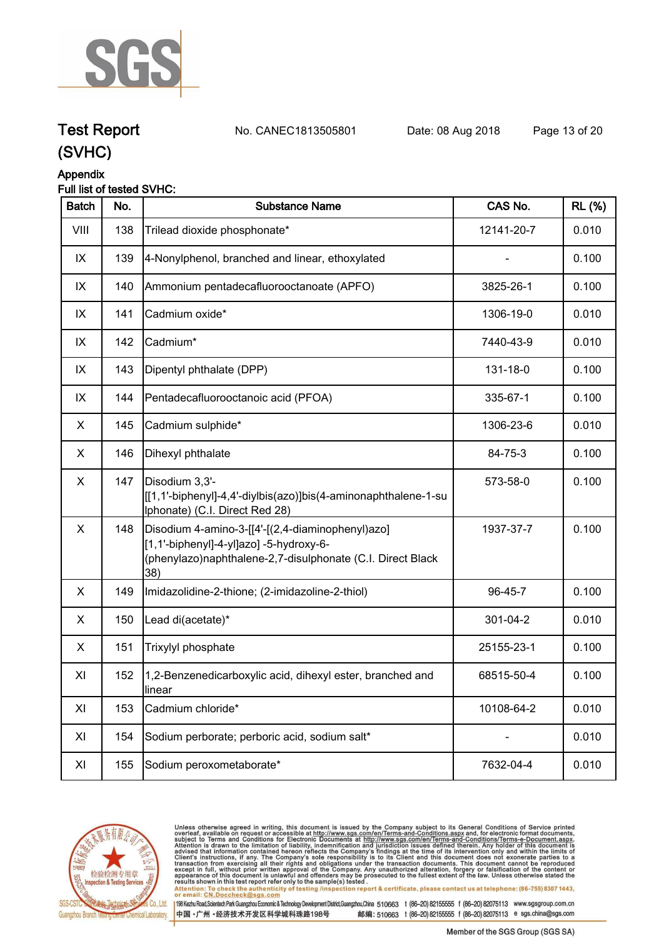

**Test Report. No. CANEC1813505801 Date: 08 Aug 2018. Page 13 of 20.**

### **(SVHC)**

### **Appendix**

### **Full list of tested SVHC:**

| <b>Batch</b>   | No. | <b>Substance Name</b>                                                                                                                                            | CAS No.    | <b>RL</b> (%) |
|----------------|-----|------------------------------------------------------------------------------------------------------------------------------------------------------------------|------------|---------------|
| VIII           | 138 | Trilead dioxide phosphonate*                                                                                                                                     | 12141-20-7 | 0.010         |
| IX             | 139 | 4-Nonylphenol, branched and linear, ethoxylated                                                                                                                  |            | 0.100         |
| IX             | 140 | Ammonium pentadecafluorooctanoate (APFO)                                                                                                                         | 3825-26-1  | 0.100         |
| IX             | 141 | Cadmium oxide*                                                                                                                                                   | 1306-19-0  | 0.010         |
| IX             | 142 | Cadmium*                                                                                                                                                         | 7440-43-9  | 0.010         |
| IX             | 143 | Dipentyl phthalate (DPP)                                                                                                                                         | 131-18-0   | 0.100         |
| IX             | 144 | Pentadecafluorooctanoic acid (PFOA)                                                                                                                              | 335-67-1   | 0.100         |
| X.             | 145 | Cadmium sulphide*                                                                                                                                                | 1306-23-6  | 0.010         |
| X              | 146 | Dihexyl phthalate                                                                                                                                                | 84-75-3    | 0.100         |
| $\mathsf X$    | 147 | Disodium 3,3'-<br>[[1,1'-biphenyl]-4,4'-diylbis(azo)]bis(4-aminonaphthalene-1-su<br>Iphonate) (C.I. Direct Red 28)                                               | 573-58-0   | 0.100         |
| $\pmb{\times}$ | 148 | Disodium 4-amino-3-[[4'-[(2,4-diaminophenyl)azo]<br>[1,1'-biphenyl]-4-yl]azo] -5-hydroxy-6-<br>(phenylazo)naphthalene-2,7-disulphonate (C.I. Direct Black<br>38) | 1937-37-7  | 0.100         |
| X              | 149 | Imidazolidine-2-thione; (2-imidazoline-2-thiol)                                                                                                                  | 96-45-7    | 0.100         |
| X              | 150 | Lead di(acetate)*                                                                                                                                                | 301-04-2   | 0.010         |
| X.             | 151 | Trixylyl phosphate                                                                                                                                               | 25155-23-1 | 0.100         |
| XI             | 152 | 1,2-Benzenedicarboxylic acid, dihexyl ester, branched and<br>linear                                                                                              | 68515-50-4 | 0.100         |
| XI             | 153 | Cadmium chloride*                                                                                                                                                | 10108-64-2 | 0.010         |
| XI             | 154 | Sodium perborate; perboric acid, sodium salt*                                                                                                                    |            | 0.010         |
| XI             | 155 | Sodium peroxometaborate*                                                                                                                                         | 7632-04-4  | 0.010         |



Unless otherwise agreed in writing, this document is issued by the Company subject to its General Conditions of Service printed<br>overleaf, available on request or accessible at http://www.sgs.com/en/Terms-and-Conditions.asp results shown in this test report refer only to the sample(s) tested .<br>Attention: To check the authenticity of testing /inspection report & certificate, please contact us at telephone: (86-755) 8307 1443,<br>or email: <u>CN.Doc</u>

198 Kezhu Road,Scientech Park Guangzhou Economic & Technology Development District,Guangzhou,China 510663 t (86-20) 82155555 f (86-20) 82075113 www.sgsgroup.com.cn

中国·广州·经济技术开发区科学城科珠路198号 邮编: 510663 t (86-20) 82155555 f (86-20) 82075113 e sgs.china@sgs.com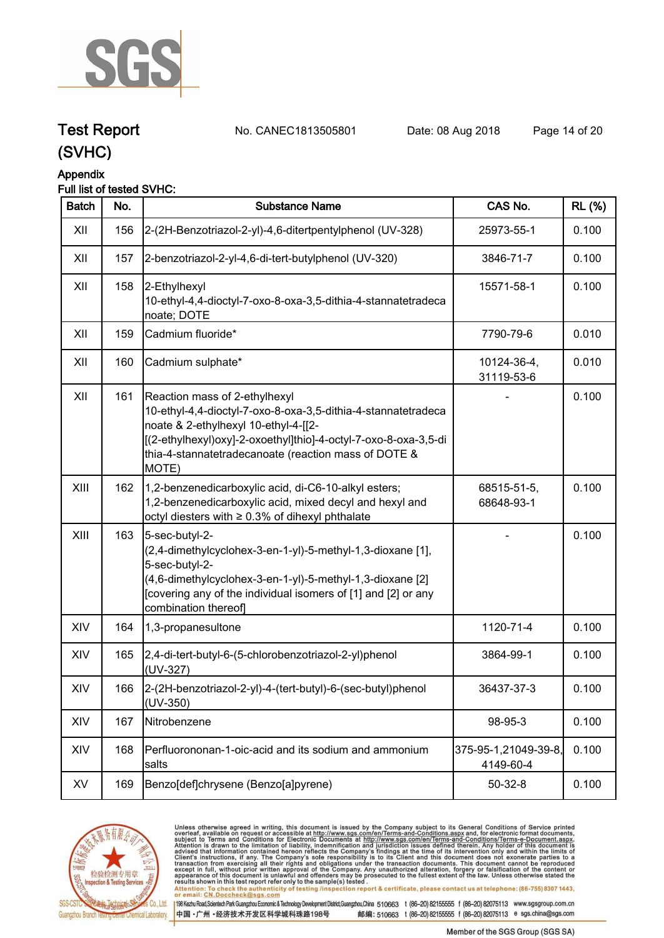

**Test Report. No. CANEC1813505801 Date: 08 Aug 2018. Page 14 of 20.**

### **(SVHC)**

### **Appendix**

### **Full list of tested SVHC:**

| <b>Batch</b> | No. | <b>Substance Name</b>                                                                                                                                                                                                                                                      | CAS No.                           | <b>RL (%)</b> |
|--------------|-----|----------------------------------------------------------------------------------------------------------------------------------------------------------------------------------------------------------------------------------------------------------------------------|-----------------------------------|---------------|
| XII          | 156 | 2-(2H-Benzotriazol-2-yl)-4,6-ditertpentylphenol (UV-328)                                                                                                                                                                                                                   | 25973-55-1                        | 0.100         |
| XII          | 157 | 2-benzotriazol-2-yl-4,6-di-tert-butylphenol (UV-320)                                                                                                                                                                                                                       | 3846-71-7                         | 0.100         |
| XII          | 158 | 2-Ethylhexyl<br>10-ethyl-4,4-dioctyl-7-oxo-8-oxa-3,5-dithia-4-stannatetradeca<br>noate; DOTE                                                                                                                                                                               | 15571-58-1                        | 0.100         |
| XII          | 159 | Cadmium fluoride*                                                                                                                                                                                                                                                          | 7790-79-6                         | 0.010         |
| XII          | 160 | Cadmium sulphate*                                                                                                                                                                                                                                                          | 10124-36-4,<br>31119-53-6         | 0.010         |
| XII          | 161 | Reaction mass of 2-ethylhexyl<br>10-ethyl-4,4-dioctyl-7-oxo-8-oxa-3,5-dithia-4-stannatetradeca<br>noate & 2-ethylhexyl 10-ethyl-4-[[2-<br>[(2-ethylhexyl)oxy]-2-oxoethyl]thio]-4-octyl-7-oxo-8-oxa-3,5-di<br>thia-4-stannatetradecanoate (reaction mass of DOTE &<br>MOTE) |                                   | 0.100         |
| XIII         | 162 | 1,2-benzenedicarboxylic acid, di-C6-10-alkyl esters;<br>1,2-benzenedicarboxylic acid, mixed decyl and hexyl and<br>octyl diesters with $\geq 0.3\%$ of dihexyl phthalate                                                                                                   | 68515-51-5,<br>68648-93-1         | 0.100         |
| XIII         | 163 | 5-sec-butyl-2-<br>(2,4-dimethylcyclohex-3-en-1-yl)-5-methyl-1,3-dioxane [1],<br>5-sec-butyl-2-<br>(4,6-dimethylcyclohex-3-en-1-yl)-5-methyl-1,3-dioxane [2]<br>[covering any of the individual isomers of [1] and [2] or any<br>combination thereof]                       |                                   | 0.100         |
| XIV          | 164 | 1,3-propanesultone                                                                                                                                                                                                                                                         | 1120-71-4                         | 0.100         |
| XIV          | 165 | 2,4-di-tert-butyl-6-(5-chlorobenzotriazol-2-yl)phenol<br>(UV-327)                                                                                                                                                                                                          | 3864-99-1                         | 0.100         |
| XIV          | 166 | 2-(2H-benzotriazol-2-yl)-4-(tert-butyl)-6-(sec-butyl)phenol<br>(UV-350)                                                                                                                                                                                                    | 36437-37-3                        | 0.100         |
| XIV          | 167 | Nitrobenzene                                                                                                                                                                                                                                                               | 98-95-3                           | 0.100         |
| XIV          | 168 | Perfluorononan-1-oic-acid and its sodium and ammonium<br>salts                                                                                                                                                                                                             | 375-95-1,21049-39-8,<br>4149-60-4 | 0.100         |
| XV           | 169 | Benzo[def]chrysene (Benzo[a]pyrene)                                                                                                                                                                                                                                        | $50 - 32 - 8$                     | 0.100         |



Unless otherwise agreed in writing, this document is issued by the Company subject to its General Conditions of Service printed<br>overleaf, available on request or accessible at http://www.sgs.com/en/Terms-and-Conditions.asp results shown in this test report refer only to the sample(s) tested .<br>Attention: To check the authenticity of testing /inspection report & certificate, please contact us at telephone: (86-755) 8307 1443,<br>or email: <u>CN.Doc</u>

198 Kezhu Road,Scientech Park Guangzhou Economic & Technology Development District,Guangzhou,China 510663 t (86-20) 82155555 f (86-20) 82075113 www.sgsgroup.com.cn

中国·广州·经济技术开发区科学城科珠路198号 邮编: 510663 t (86-20) 82155555 f (86-20) 82075113 e sgs.china@sgs.com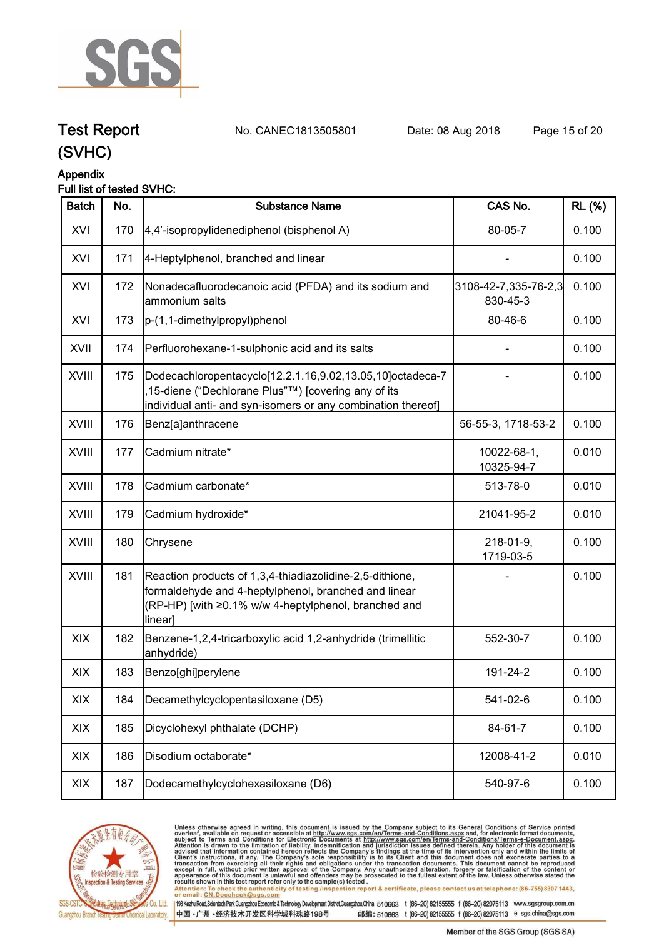

**Test Report. No. CANEC1813505801 Date: 08 Aug 2018. Page 15 of 20.**

### **(SVHC)**

### **Appendix**

### **Full list of tested SVHC:**

| <b>Batch</b> | No. | <b>Substance Name</b>                                                                                                                                                               | CAS No.                          | <b>RL</b> (%) |
|--------------|-----|-------------------------------------------------------------------------------------------------------------------------------------------------------------------------------------|----------------------------------|---------------|
| XVI          | 170 | 4,4'-isopropylidenediphenol (bisphenol A)                                                                                                                                           | 80-05-7                          | 0.100         |
| XVI          | 171 | 4-Heptylphenol, branched and linear                                                                                                                                                 |                                  | 0.100         |
| XVI          | 172 | Nonadecafluorodecanoic acid (PFDA) and its sodium and<br>ammonium salts                                                                                                             | 3108-42-7,335-76-2,3<br>830-45-3 | 0.100         |
| XVI          | 173 | p-(1,1-dimethylpropyl)phenol                                                                                                                                                        | 80-46-6                          | 0.100         |
| XVII         | 174 | Perfluorohexane-1-sulphonic acid and its salts                                                                                                                                      |                                  | 0.100         |
| <b>XVIII</b> | 175 | Dodecachloropentacyclo[12.2.1.16,9.02,13.05,10]octadeca-7<br>15-diene ("Dechlorane Plus"™) [covering any of its<br>individual anti- and syn-isomers or any combination thereof]     |                                  | 0.100         |
| XVIII        | 176 | Benz[a]anthracene                                                                                                                                                                   | 56-55-3, 1718-53-2               | 0.100         |
| <b>XVIII</b> | 177 | Cadmium nitrate*                                                                                                                                                                    | 10022-68-1,<br>10325-94-7        | 0.010         |
| <b>XVIII</b> | 178 | Cadmium carbonate*                                                                                                                                                                  | 513-78-0                         | 0.010         |
| XVIII        | 179 | Cadmium hydroxide*                                                                                                                                                                  | 21041-95-2                       | 0.010         |
| <b>XVIII</b> | 180 | Chrysene                                                                                                                                                                            | 218-01-9,<br>1719-03-5           | 0.100         |
| XVIII        | 181 | Reaction products of 1,3,4-thiadiazolidine-2,5-dithione,<br>formaldehyde and 4-heptylphenol, branched and linear<br>(RP-HP) [with ≥0.1% w/w 4-heptylphenol, branched and<br>linear] |                                  | 0.100         |
| XIX          | 182 | Benzene-1,2,4-tricarboxylic acid 1,2-anhydride (trimellitic<br>anhydride)                                                                                                           | 552-30-7                         | 0.100         |
| XIX          | 183 | Benzo[ghi]perylene                                                                                                                                                                  | 191-24-2                         | 0.100         |
| XIX          | 184 | Decamethylcyclopentasiloxane (D5)                                                                                                                                                   | 541-02-6                         | 0.100         |
| XIX          | 185 | Dicyclohexyl phthalate (DCHP)                                                                                                                                                       | 84-61-7                          | 0.100         |
| XIX          | 186 | Disodium octaborate*                                                                                                                                                                | 12008-41-2                       | 0.010         |
| XIX          | 187 | Dodecamethylcyclohexasiloxane (D6)                                                                                                                                                  | 540-97-6                         | 0.100         |



Unless otherwise agreed in writing, this document is issued by the Company subject to its General Conditions of Service printed<br>overleaf, available on request or accessible at http://www.sgs.com/en/Terms-and-Conditions.asp results shown in this test report refer only to the sample(s) tested .<br>Attention: To check the authenticity of testing /inspection report & certificate, please contact us at telephone: (86-755) 8307 1443,<br>or email: <u>CN.Doc</u>

198 Kezhu Road,Scientech Park Guangzhou Economic & Technology Development District,Guangzhou,China 510663 t (86-20) 82155555 f (86-20) 82075113 www.sgsgroup.com.cn

中国·广州·经济技术开发区科学城科珠路198号 邮编: 510663 t (86-20) 82155555 f (86-20) 82075113 e sgs.china@sgs.com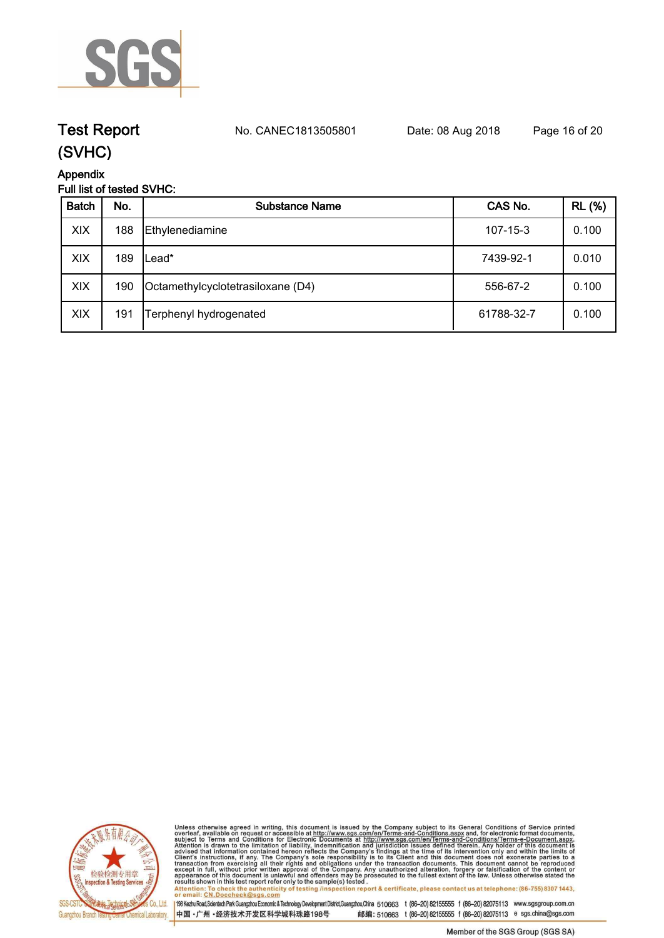

### **Test Report. No. CANEC1813505801 Date: 08 Aug 2018. Page 16 of 20.**

### **(SVHC)**

**Appendix**

### **Full list of tested SVHC:**

| <b>Batch</b> | No. | <b>Substance Name</b>             | CAS No.        | <b>RL</b> (%) |
|--------------|-----|-----------------------------------|----------------|---------------|
| XIX          | 188 | Ethylenediamine                   | $107 - 15 - 3$ | 0.100         |
| XIX          | 189 | ∟ead*                             | 7439-92-1      | 0.010         |
| XIX          | 190 | Octamethylcyclotetrasiloxane (D4) | 556-67-2       | 0.100         |
| XIX          | 191 | Terphenyl hydrogenated            | 61788-32-7     | 0.100         |



Unless otherwise agreed in writing, this document is issued by the Company subject to its General Conditions of Service printed<br>overleaf, available on request or accessible at http://www.sgs.com/en/Terms-and-Conditions.as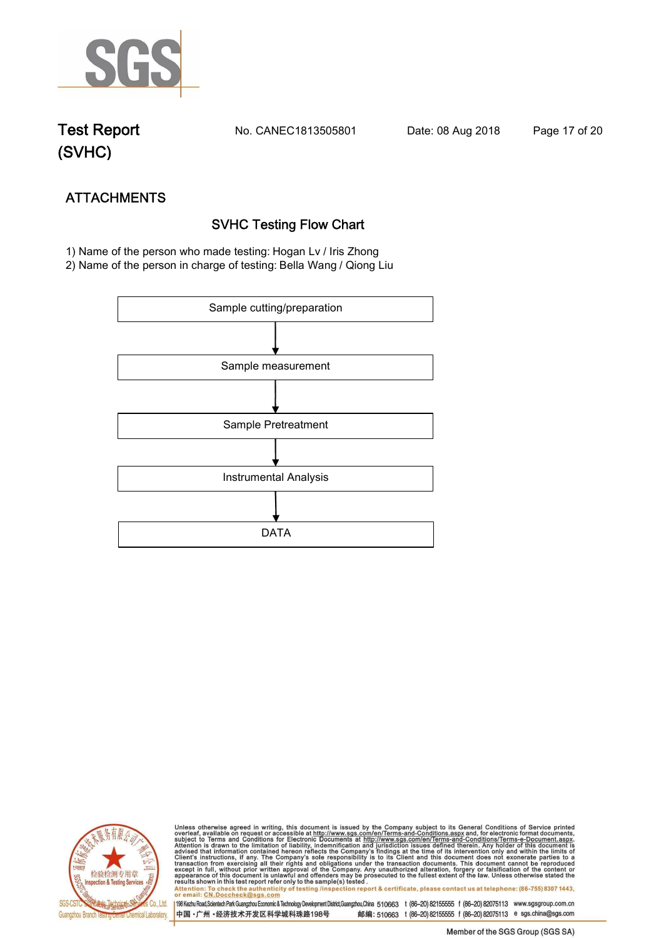

**Test Report. No. CANEC1813505801 Date: 08 Aug 2018. Page 17 of 20.**

## **(SVHC)**

# **ATTACHMENTS SVHC Testing Flow Chart**

 **1) Name of the person who made testing: Hogan Lv / Iris Zhong**

**2) Name of the person in charge of testing: Bella Wang / Qiong Liu**





Unless otherwise agreed in writing, this document is issued by the Company subject to its General Conditions of Service printed<br>overleaf, available on request or accessible at http://www.sgs.com/en/Terms-and-Conditions.asp Attention: To check the authenticity of testing /inspection report & certificate, please contact us at telephone: (86-755) 8307 1443,<br>Attention: To check the authenticity of testing /inspection report & certificate, please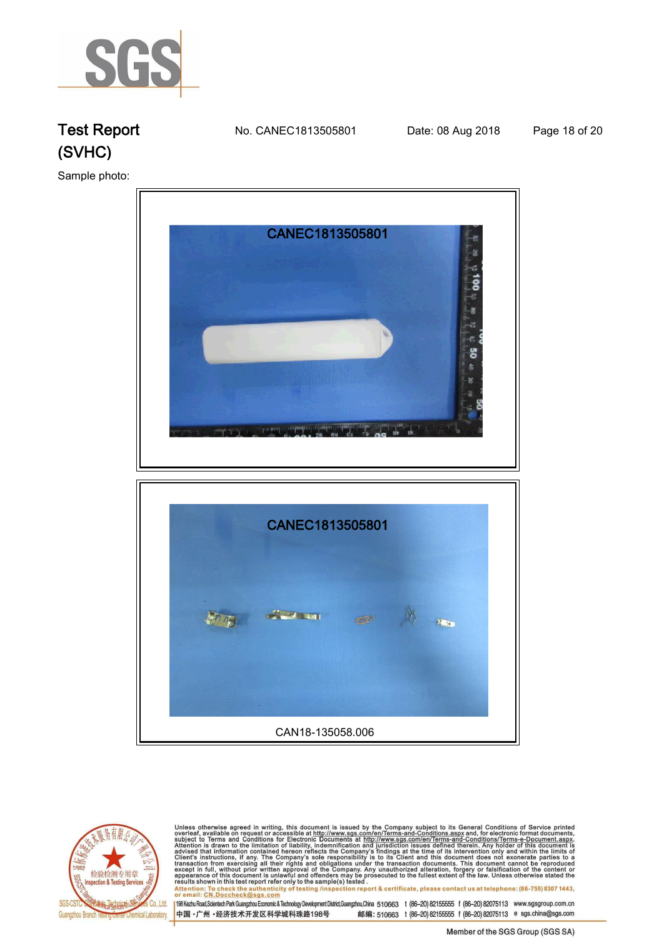

**Test Report. No. CANEC1813505801 Date: 08 Aug 2018. Page 18 of 20.**

**Sample photo:.**







Unless otherwise agreed in writing, this document is issued by the Company subject to its General Conditions of Service printed<br>overleaf, available on request or accessible at http://www.sgs.com/en/Terms-and-Conditions.as

198 Kezhu Road,Scientech Park Guangzhou Economic & Technology Development District,Guangzhou,China 510663 t (86-20) 82155555 f (86-20) 82075113 www.sgsgroup.com.cn 中国·广州·经济技术开发区科学城科珠路198号 邮编: 510663 t (86-20) 82155555 f (86-20) 82075113 e sgs.china@sgs.com

Member of the SGS Group (SGS SA)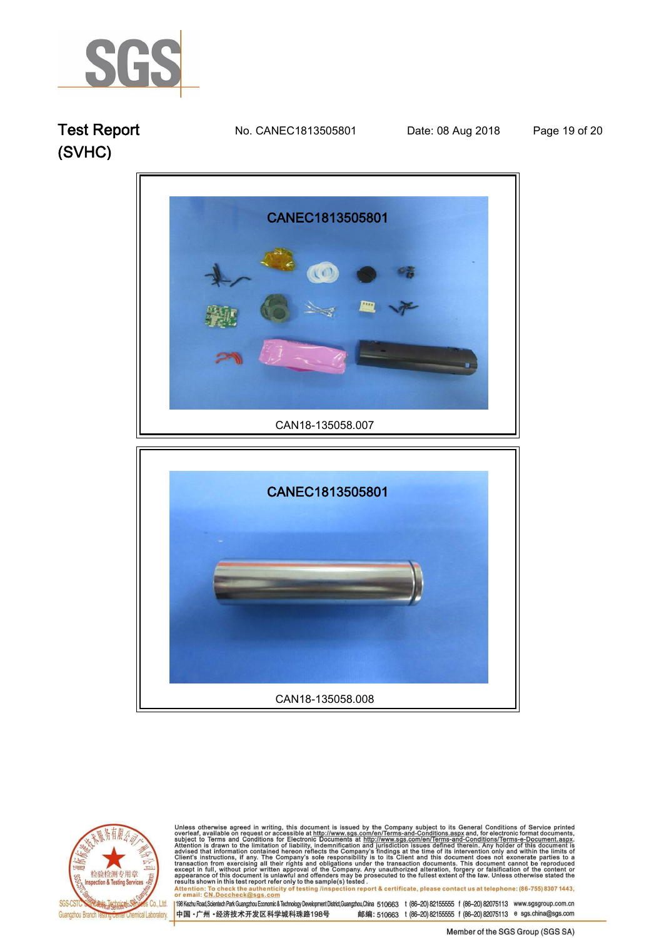

**Test Report. No. CANEC1813505801 Date: 08 Aug 2018. Page 19 of 20.**







Unless otherwise agreed in writing, this document is issued by the Company subject to its General Conditions of Service printed<br>overleaf, available on request or accessible at http://www.sgs.com/en/Terms-and-Conditions.asp results shown in this test report refer only to the sample(s) tested .<br>Attention: To check the authenticity of testing /inspection report & certificate, please contact us at telephone: (86-755) 8307 1443,<br>or email: <u>CN.Doc</u>

198 Kezhu Road,Scientech Park Guangzhou Economic & Technology Development District,Guangzhou,China 510663 t (86-20) 82155555 f (86-20) 82075113 www.sgsgroup.com.cn 中国·广州·经济技术开发区科学城科珠路198号 邮编: 510663 t (86-20) 82155555 f (86-20) 82075113 e sgs.china@sgs.com

Member of the SGS Group (SGS SA)